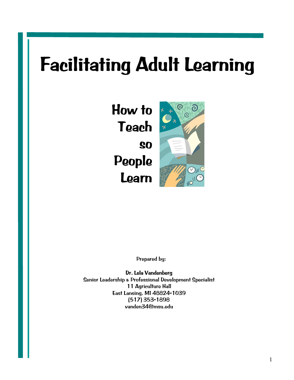# **Facilitating Adult Learning**

**How to Teach so People Learn**



Prepared by:

**Dr. Lela Vandenberg**  Senior Leadership & Professional Development Specialist 11 Agriculture Hall East Lansing, MI 48824-1039 (517) 353-1898 vanden34@msu.edu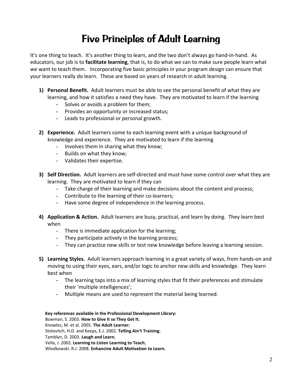## **Five Principles of Adult Learning**

It's one thing to teach. It's another thing to learn, and the two don't always go hand‐in‐hand. As educators, our job is to **facilitate learning**, that is, to do what we can to make sure people learn what we want to teach them. Incorporating five basic principles in your program design can ensure that your learners really do learn. These are based on years of research in adult learning.

- **1) Personal Benefit.** Adult learners must be able to see the personal benefit of what they are learning, and how it satisfies a need they have. They are motivated to learn if the learning
	- **-** Solves or avoids a problem for them;
	- **-** Provides an opportunity or increased status;
	- **-** Leads to professional or personal growth.
- **2) Experience.** Adult learners come to each learning event with a unique background of knowledge and experience. They are motivated to learn if the learning
	- Involves them in sharing what they know;
	- Builds on what they know;
	- Validates their expertise.
- **3) Self Direction.** Adult learners are self‐directed and must have some control over what they are learning. They are motivated to learn if they can
	- Take charge of their learning and make decisions about the content and process;
	- Contribute to the learning of their co-learners;
	- Have some degree of independence in the learning process.
- **4) Application & Action.** Adult learners are busy, practical, and learn by doing. They learn best when
	- There is immediate application for the learning;
	- They participate actively in the learning process;
	- They can practice new skills or test new knowledge before leaving a learning session.
- **5) Learning Styles.** Adult learners approach learning in a great variety of ways, from hands‐on and moving to using their eyes, ears, and/or logic to anchor new skills and knowledge. They learn best when
	- **-** The learning taps into a mix of learning styles that fit their preferences and stimulate their 'multiple intelligences';
	- **-** Multiple means are used to represent the material being learned.

#### **Key references available in the Professional Development Library:**

Bowman, S. 2003. **How to Give It so They Get It**;

Knowles, M. et al. 2005. **The Adult Learner**;

Stolovitch, H.D. and Keeps, E.J. 2002. **Telling Ain't Training**;

Tamblyn, D. 2003. **Laugh and Learn**;

Vella, J. 2002. **Learning to Listen Learning to Teach**;

Wlodkowski, R.J. 2008. **Enhancing Adult Motivation to Learn.**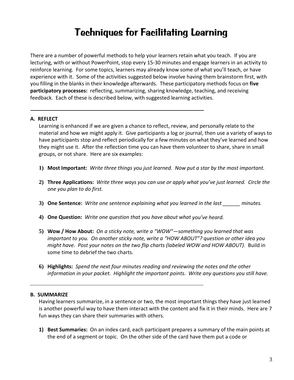## **Techniques for Facilitating Learning**

There are a number of powerful methods to help your learners retain what you teach. If you are lecturing, with or without PowerPoint, stop every 15‐30 minutes and engage learners in an activity to reinforce learning. For some topics, learners may already know some of what you'll teach, or have experience with it. Some of the activities suggested below involve having them brainstorm first, with you filling in the blanks in their knowledge afterwards. These participatory methods focus on **five participatory processes:** reflecting, summarizing, sharing knowledge, teaching, and receiving feedback. Each of these is described below, with suggested learning activities.

#### **A. REFLECT**

Learning is enhanced if we are given a chance to reflect, review, and personally relate to the material and how we might apply it. Give participants a log or journal, then use a variety of ways to have participants stop and reflect periodically for a few minutes on what they've learned and how they might use it. After the reflection time you can have them volunteer to share, share in small groups, or not share. Here are six examples:

- 1) Most Important: Write three things you just learned. Now put a star by the most important.
- 2) Three Applications: Write three ways you can use or apply what you've just learned. Circle the *one you plan to do first.*
- **3) One Sentence:** *Write one sentence explaining what you learned in the last \_\_\_\_\_\_ minutes.*
- **4) One Question:** *Write one question that you have about what you've heard.*
- **5) Wow / How About:** *On a sticky note, write a "WOW"—something you learned that was important to you. On another sticky note, write a "HOW ABOUT"? question or other idea you might have. Post your notes on the two flip charts (labeled WOW and HOW ABOUT).* Build in some time to debrief the two charts.
- **6) Highlights:** *Spend the next four minutes reading and reviewing the notes and the other information in your packet. Highlight the important points. Write any questions you still have.*

#### **B. SUMMARIZE**

Having learners summarize, in a sentence or two, the most important things they have just learned is another powerful way to have them interact with the content and fix it in their minds. Here are 7 fun ways they can share their summaries with others.

**1) Best Summaries:** On an index card, each participant prepares a summary of the main points at the end of a segment or topic. On the other side of the card have them put a code or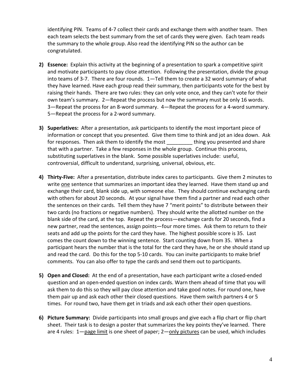identifying PIN. Teams of 4‐7 collect their cards and exchange them with another team. Then each team selects the best summary from the set of cards they were given. Each team reads the summary to the whole group. Also read the identifying PIN so the author can be congratulated.

- **2) Essence:** Explain this activity at the beginning of a presentation to spark a competitive spirit and motivate participants to pay close attention. Following the presentation, divide the group into teams of 3-7. There are four rounds. 1-Tell them to create a 32 word summary of what they have learned. Have each group read their summary, then participants vote for the best by raising their hands. There are two rules: they can only vote once, and they can't vote for their own team's summary. 2—Repeat the process but now the summary must be only 16 words. 3—Repeat the process for an 8‐word summary. 4—Repeat the process for a 4‐word summary. 5—Repeat the process for a 2‐word summary.
- **3) Superlatives:** After a presentation, ask participants to identify the most important piece of information or concept that you presented. Give them time to think and jot an idea down. Ask for responses. Then ask them to identify the most \_\_\_\_\_\_\_\_\_ thing you presented and share that with a partner. Take a few responses in the whole group. Continue this process, substituting superlatives in the blank. Some possible superlatives include: useful, controversial, difficult to understand, surprising, universal, obvious, etc.
- **4) Thirty‐Five:** After a presentation, distribute index cares to participants. Give them 2 minutes to write one sentence that summarizes an important idea they learned. Have them stand up and exchange their card, blank side up, with someone else. They should continue exchanging cards with others for about 20 seconds. At your signal have them find a partner and read each other the sentences on their cards. Tell them they have 7 "merit points" to distribute between their two cards (no fractions or negative numbers). They should write the allotted number on the blank side of the card, at the top. Repeat the process—exchange cards for 20 seconds, find a new partner, read the sentences, assign points—four more times. Ask them to return to their seats and add up the points for the card they have. The highest possible score is 35. Last comes the count down to the winning sentence. Start counting down from 35. When a participant hears the number that is the total for the card they have, he or she should stand up and read the card. Do this for the top 5‐10 cards. You can invite participants to make brief comments. You can also offer to type the cards and send them out to participants.
- **5) Open and Closed:** At the end of a presentation, have each participant write a closed‐ended question and an open‐ended question on index cards. Warn them ahead of time that you will ask them to do this so they will pay close attention and take good notes. For round one, have them pair up and ask each other their closed questions. Have them switch partners 4 or 5 times. For round two, have them get in triads and ask each other their open questions.
- **6) Picture Summary:** Divide participants into small groups and give each a flip chart or flip chart sheet. Their task is to design a poster that summarizes the key points they've learned. There are 4 rules: 1—page limit is one sheet of paper; 2—only pictures can be used, which includes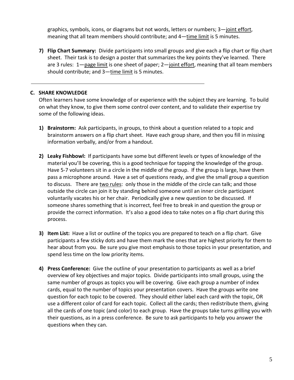graphics, symbols, icons, or diagrams but not words, letters or numbers; 3—joint effort, meaning that all team members should contribute; and 4—time limit is 5 minutes.

**7) Flip Chart Summary:** Divide participants into small groups and give each a flip chart or flip chart sheet. Their task is to design a poster that summarizes the key points they've learned. There are 3 rules: 1-page limit is one sheet of paper; 2-joint effort, meaning that all team members should contribute; and 3—time limit is 5 minutes.

#### **C. SHARE KNOWLEDGE**

Often learners have some knowledge of or experience with the subject they are learning. To build on what they know, to give them some control over content, and to validate their expertise try some of the following ideas.

- **1) Brainstorm:** Ask participants, in groups, to think about a question related to a topic and brainstorm answers on a flip chart sheet. Have each group share, and then you fill in missing information verbally, and/or from a handout.
- **2) Leaky Fishbowl:** If participants have some but different levels or types of knowledge of the material you'll be covering, this is a good technique for tapping the knowledge of the group. Have 5-7 volunteers sit in a circle in the middle of the group. If the group is large, have them pass a microphone around. Have a set of questions ready, and give the small group a question to discuss. There are two rules: only those in the middle of the circle can talk; and those outside the circle can join it by standing behind someone until an inner circle participant voluntarily vacates his or her chair. Periodically give a new question to be discussed. If someone shares something that is incorrect, feel free to break in and question the group or provide the correct information. It's also a good idea to take notes on a flip chart during this process.
- **3) Item List:** Have a list or outline of the topics you are prepared to teach on a flip chart. Give participants a few sticky dots and have them mark the ones that are highest priority for them to hear about from you. Be sure you give most emphasis to those topics in your presentation, and spend less time on the low priority items.
- **4) Press Conference:** Give the outline of your presentation to participants as well as a brief overview of key objectives and major topics. Divide participants into small groups, using the same number of groups as topics you will be covering. Give each group a number of index cards, equal to the number of topics your presentation covers. Have the groups write one question for each topic to be covered. They should either label each card with the topic, OR use a different color of card for each topic. Collect all the cards; then redistribute them, giving all the cards of one topic (and color) to each group. Have the groups take turns grilling you with their questions, as in a press conference. Be sure to ask participants to help you answer the questions when they can.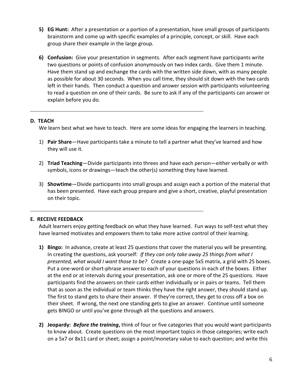- **5) EG Hunt:** After a presentation or a portion of a presentation, have small groups of participants brainstorm and come up with specific examples of a principle, concept, or skill. Have each group share their example in the large group.
- **6) Confusion:** Give your presentation in segments. After each segment have participants write two questions or points of confusion anonymously on two index cards. Give them 1 minute. Have them stand up and exchange the cards with the written side down, with as many people as possible for about 30 seconds. When you call time, they should sit down with the two cards left in their hands. Then conduct a question and answer session with participants volunteering to read a question on one of their cards. Be sure to ask if any of the participants can answer or explain before you do.

#### **D. TEACH**

We learn best what we have to teach. Here are some ideas for engaging the learners in teaching.

- 1) **Pair Share**—Have participants take a minute to tell a partner what they've learned and how they will use it.
- 2) **Triad Teaching**—Divide participants into threes and have each person—either verbally or with symbols, icons or drawings—teach the other(s) something they have learned.
- 3) **Showtime**—Divide participants into small groups and assign each a portion of the material that has been presented. Have each group prepare and give a short, creative, playful presentation on their topic.

### **E. RECEIVE FEEDBACK**

Adult learners enjoy getting feedback on what they have learned. Fun ways to self‐test what they have learned motivates and empowers them to take more active control of their learning.

- **1) Bingo:** In advance, create at least 25 questions that cover the material you will be presenting. In creating the questions, ask yourself: *If they can only take away 25 things from what I presented, what would I want those to be?* Create a one‐page 5x5 matrix, a grid with 25 boxes. Put a one‐word or short‐phrase answer to each of your questions in each of the boxes. Either at the end or at intervals during your presentation, ask one or more of the 25 questions. Have participants find the answers on their cards either individually or in pairs or teams. Tell them that as soon as the individual or team thinks they have the right answer, they should stand up. The first to stand gets to share their answer. If they're correct, they get to cross off a box on their sheet. If wrong, the next one standing gets to give an answer. Continue until someone gets BINGO or until you've gone through all the questions and answers.
- **2) Jeopardy:** *Before the training***,** think of four or five categories that you would want participants to know about. Create questions on the most important topics in those categories; write each on a 5x7 or 8x11 card or sheet; assign a point/monetary value to each question; and write this